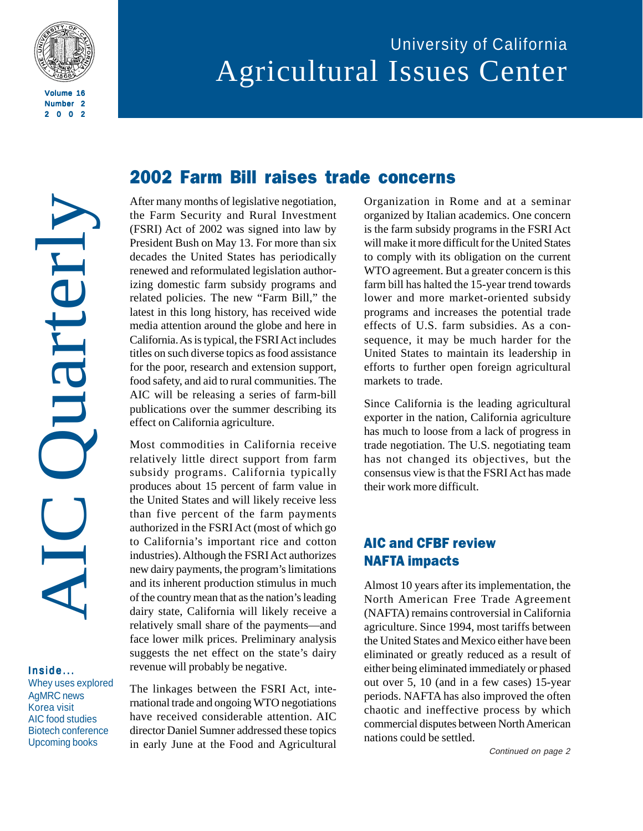

2002

AIC Quarterly Ouarter

#### Inside... Whey uses explored AgMRC news Korea visit AIC food studies Biotech conference Upcoming books

# 2002 Farm Bill raises trade concerns

After many months of legislative negotiation, the Farm Security and Rural Investment (FSRI) Act of 2002 was signed into law by President Bush on May 13. For more than six decades the United States has periodically renewed and reformulated legislation authorizing domestic farm subsidy programs and related policies. The new "Farm Bill," the latest in this long history, has received wide media attention around the globe and here in California. As is typical, the FSRI Act includes titles on such diverse topics as food assistance for the poor, research and extension support, food safety, and aid to rural communities. The AIC will be releasing a series of farm-bill publications over the summer describing its effect on California agriculture.

Most commodities in California receive relatively little direct support from farm subsidy programs. California typically produces about 15 percent of farm value in the United States and will likely receive less than five percent of the farm payments authorized in the FSRI Act (most of which go to California's important rice and cotton industries). Although the FSRI Act authorizes new dairy payments, the program's limitations and its inherent production stimulus in much of the country mean that as the nation's leading dairy state, California will likely receive a relatively small share of the payments—and face lower milk prices. Preliminary analysis suggests the net effect on the state's dairy revenue will probably be negative.

The linkages between the FSRI Act, international trade and ongoing WTO negotiations have received considerable attention. AIC director Daniel Sumner addressed these topics in early June at the Food and Agricultural Organization in Rome and at a seminar organized by Italian academics. One concern is the farm subsidy programs in the FSRI Act will make it more difficult for the United States to comply with its obligation on the current WTO agreement. But a greater concern is this farm bill has halted the 15-year trend towards lower and more market-oriented subsidy programs and increases the potential trade effects of U.S. farm subsidies. As a consequence, it may be much harder for the United States to maintain its leadership in efforts to further open foreign agricultural markets to trade.

Since California is the leading agricultural exporter in the nation, California agriculture has much to loose from a lack of progress in trade negotiation. The U.S. negotiating team has not changed its objectives, but the consensus view is that the FSRI Act has made their work more difficult.

## AIC and CFBF review NAFTA impacts

Almost 10 years after its implementation, the North American Free Trade Agreement (NAFTA) remains controversial in California agriculture. Since 1994, most tariffs between the United States and Mexico either have been eliminated or greatly reduced as a result of either being eliminated immediately or phased out over 5, 10 (and in a few cases) 15-year periods. NAFTA has also improved the often chaotic and ineffective process by which commercial disputes between North American nations could be settled.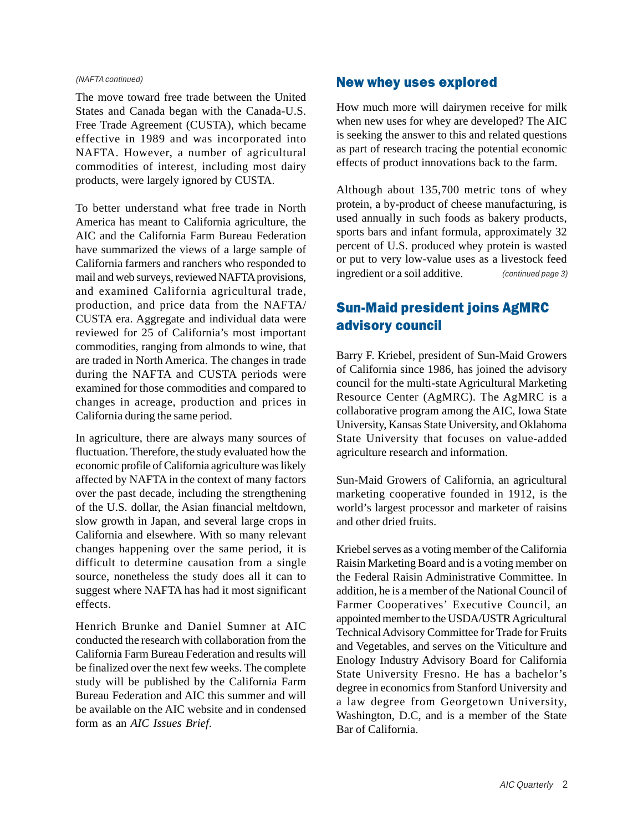#### (NAFTA continued)

The move toward free trade between the United States and Canada began with the Canada-U.S. Free Trade Agreement (CUSTA), which became effective in 1989 and was incorporated into NAFTA. However, a number of agricultural commodities of interest, including most dairy products, were largely ignored by CUSTA.

To better understand what free trade in North America has meant to California agriculture, the AIC and the California Farm Bureau Federation have summarized the views of a large sample of California farmers and ranchers who responded to mail and web surveys, reviewed NAFTA provisions, and examined California agricultural trade, production, and price data from the NAFTA/ CUSTA era. Aggregate and individual data were reviewed for 25 of California's most important commodities, ranging from almonds to wine, that are traded in North America. The changes in trade during the NAFTA and CUSTA periods were examined for those commodities and compared to changes in acreage, production and prices in California during the same period.

In agriculture, there are always many sources of fluctuation. Therefore, the study evaluated how the economic profile of California agriculture was likely affected by NAFTA in the context of many factors over the past decade, including the strengthening of the U.S. dollar, the Asian financial meltdown, slow growth in Japan, and several large crops in California and elsewhere. With so many relevant changes happening over the same period, it is difficult to determine causation from a single source, nonetheless the study does all it can to suggest where NAFTA has had it most significant effects.

Henrich Brunke and Daniel Sumner at AIC conducted the research with collaboration from the California Farm Bureau Federation and results will be finalized over the next few weeks. The complete study will be published by the California Farm Bureau Federation and AIC this summer and will be available on the AIC website and in condensed form as an *AIC Issues Brief*.

#### New whey uses explored

How much more will dairymen receive for milk when new uses for whey are developed? The AIC is seeking the answer to this and related questions as part of research tracing the potential economic effects of product innovations back to the farm.

Although about 135,700 metric tons of whey protein, a by-product of cheese manufacturing, is used annually in such foods as bakery products, sports bars and infant formula, approximately 32 percent of U.S. produced whey protein is wasted or put to very low-value uses as a livestock feed ingredient or a soil additive. (continued page 3)

## Sun-Maid president joins AgMRC advisory council

Barry F. Kriebel, president of Sun-Maid Growers of California since 1986, has joined the advisory council for the multi-state Agricultural Marketing Resource Center (AgMRC). The AgMRC is a collaborative program among the AIC, Iowa State University, Kansas State University, and Oklahoma State University that focuses on value-added agriculture research and information.

Sun-Maid Growers of California, an agricultural marketing cooperative founded in 1912, is the world's largest processor and marketer of raisins and other dried fruits.

Kriebel serves as a voting member of the California Raisin Marketing Board and is a voting member on the Federal Raisin Administrative Committee. In addition, he is a member of the National Council of Farmer Cooperatives' Executive Council, an appointed member to the USDA/USTR Agricultural Technical Advisory Committee for Trade for Fruits and Vegetables, and serves on the Viticulture and Enology Industry Advisory Board for California State University Fresno. He has a bachelor's degree in economics from Stanford University and a law degree from Georgetown University, Washington, D.C, and is a member of the State Bar of California.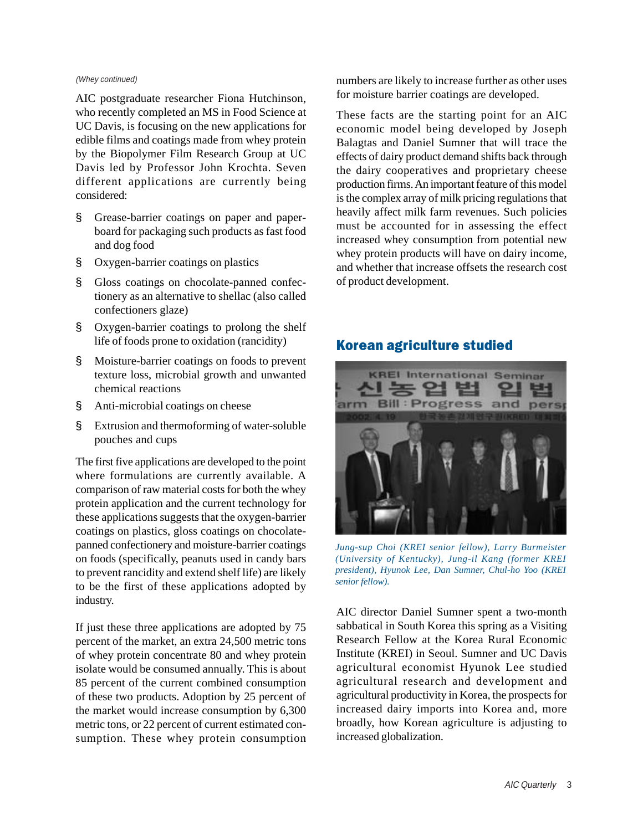#### (Whey continued)

AIC postgraduate researcher Fiona Hutchinson, who recently completed an MS in Food Science at UC Davis, is focusing on the new applications for edible films and coatings made from whey protein by the Biopolymer Film Research Group at UC Davis led by Professor John Krochta. Seven different applications are currently being considered:

- § Grease-barrier coatings on paper and paperboard for packaging such products as fast food and dog food
- § Oxygen-barrier coatings on plastics
- § Gloss coatings on chocolate-panned confectionery as an alternative to shellac (also called confectioners glaze)
- § Oxygen-barrier coatings to prolong the shelf life of foods prone to oxidation (rancidity)
- § Moisture-barrier coatings on foods to prevent texture loss, microbial growth and unwanted chemical reactions
- § Anti-microbial coatings on cheese
- § Extrusion and thermoforming of water-soluble pouches and cups

The first five applications are developed to the point where formulations are currently available. A comparison of raw material costs for both the whey protein application and the current technology for these applications suggests that the oxygen-barrier coatings on plastics, gloss coatings on chocolatepanned confectionery and moisture-barrier coatings on foods (specifically, peanuts used in candy bars to prevent rancidity and extend shelf life) are likely to be the first of these applications adopted by industry.

If just these three applications are adopted by 75 percent of the market, an extra 24,500 metric tons of whey protein concentrate 80 and whey protein isolate would be consumed annually. This is about 85 percent of the current combined consumption of these two products. Adoption by 25 percent of the market would increase consumption by 6,300 metric tons, or 22 percent of current estimated consumption. These whey protein consumption

numbers are likely to increase further as other uses for moisture barrier coatings are developed.

These facts are the starting point for an AIC economic model being developed by Joseph Balagtas and Daniel Sumner that will trace the effects of dairy product demand shifts back through the dairy cooperatives and proprietary cheese production firms. An important feature of this model is the complex array of milk pricing regulations that heavily affect milk farm revenues. Such policies must be accounted for in assessing the effect increased whey consumption from potential new whey protein products will have on dairy income, and whether that increase offsets the research cost of product development.

#### Korean agriculture studied



*Jung-sup Choi (KREI senior fellow), Larry Burmeister (University of Kentucky), Jung-il Kang (former KREI president), Hyunok Lee, Dan Sumner, Chul-ho Yoo (KREI senior fellow).*

AIC director Daniel Sumner spent a two-month sabbatical in South Korea this spring as a Visiting Research Fellow at the Korea Rural Economic Institute (KREI) in Seoul. Sumner and UC Davis agricultural economist Hyunok Lee studied agricultural research and development and agricultural productivity in Korea, the prospects for increased dairy imports into Korea and, more broadly, how Korean agriculture is adjusting to increased globalization.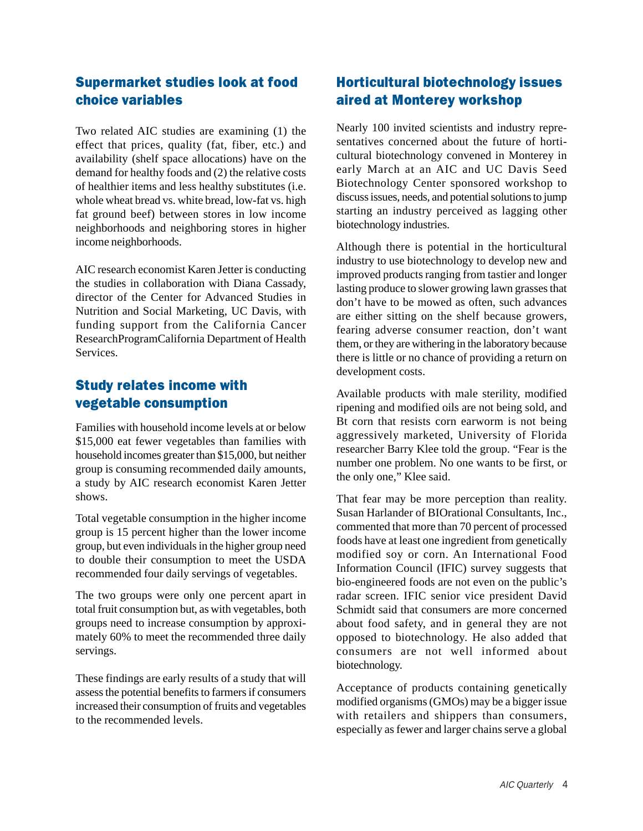## Supermarket studies look at food choice variables

Two related AIC studies are examining (1) the effect that prices, quality (fat, fiber, etc.) and availability (shelf space allocations) have on the demand for healthy foods and (2) the relative costs of healthier items and less healthy substitutes (i.e. whole wheat bread vs. white bread, low-fat vs. high fat ground beef) between stores in low income neighborhoods and neighboring stores in higher income neighborhoods.

AIC research economist Karen Jetter is conducting the studies in collaboration with Diana Cassady, director of the Center for Advanced Studies in Nutrition and Social Marketing, UC Davis, with funding support from the California Cancer ResearchProgramCalifornia Department of Health Services.

## Study relates income with vegetable consumption

Families with household income levels at or below \$15,000 eat fewer vegetables than families with household incomes greater than \$15,000, but neither group is consuming recommended daily amounts, a study by AIC research economist Karen Jetter shows.

Total vegetable consumption in the higher income group is 15 percent higher than the lower income group, but even individuals in the higher group need to double their consumption to meet the USDA recommended four daily servings of vegetables.

The two groups were only one percent apart in total fruit consumption but, as with vegetables, both groups need to increase consumption by approximately 60% to meet the recommended three daily servings.

These findings are early results of a study that will assess the potential benefits to farmers if consumers increased their consumption of fruits and vegetables to the recommended levels.

# Horticultural biotechnology issues aired at Monterey workshop

Nearly 100 invited scientists and industry representatives concerned about the future of horticultural biotechnology convened in Monterey in early March at an AIC and UC Davis Seed Biotechnology Center sponsored workshop to discuss issues, needs, and potential solutions to jump starting an industry perceived as lagging other biotechnology industries.

Although there is potential in the horticultural industry to use biotechnology to develop new and improved products ranging from tastier and longer lasting produce to slower growing lawn grasses that don't have to be mowed as often, such advances are either sitting on the shelf because growers, fearing adverse consumer reaction, don't want them, or they are withering in the laboratory because there is little or no chance of providing a return on development costs.

Available products with male sterility, modified ripening and modified oils are not being sold, and Bt corn that resists corn earworm is not being aggressively marketed, University of Florida researcher Barry Klee told the group. "Fear is the number one problem. No one wants to be first, or the only one," Klee said.

That fear may be more perception than reality. Susan Harlander of BIOrational Consultants, Inc., commented that more than 70 percent of processed foods have at least one ingredient from genetically modified soy or corn. An International Food Information Council (IFIC) survey suggests that bio-engineered foods are not even on the public's radar screen. IFIC senior vice president David Schmidt said that consumers are more concerned about food safety, and in general they are not opposed to biotechnology. He also added that consumers are not well informed about biotechnology.

Acceptance of products containing genetically modified organisms (GMOs) may be a bigger issue with retailers and shippers than consumers, especially as fewer and larger chains serve a global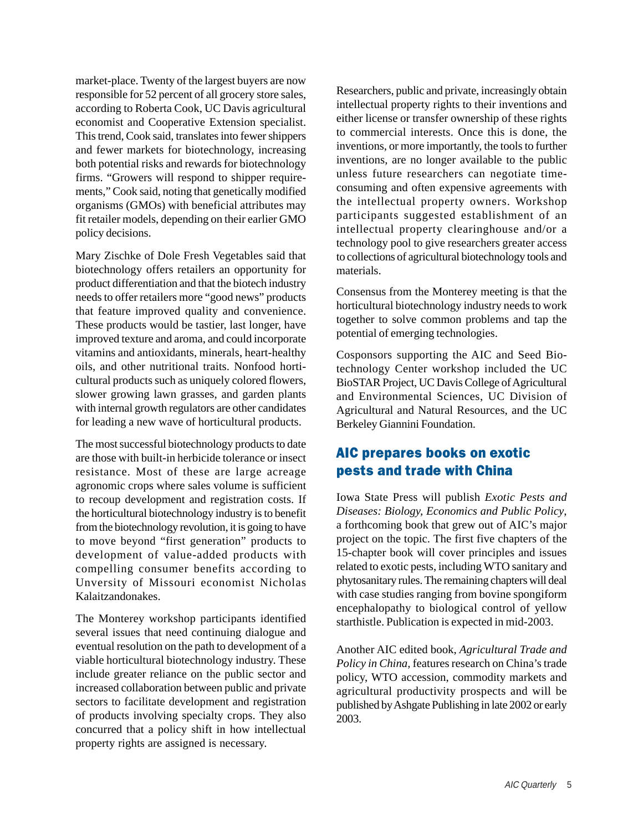market-place. Twenty of the largest buyers are now responsible for 52 percent of all grocery store sales, according to Roberta Cook, UC Davis agricultural economist and Cooperative Extension specialist. This trend, Cook said, translates into fewer shippers and fewer markets for biotechnology, increasing both potential risks and rewards for biotechnology firms. "Growers will respond to shipper requirements," Cook said, noting that genetically modified organisms (GMOs) with beneficial attributes may fit retailer models, depending on their earlier GMO policy decisions.

Mary Zischke of Dole Fresh Vegetables said that biotechnology offers retailers an opportunity for product differentiation and that the biotech industry needs to offer retailers more "good news" products that feature improved quality and convenience. These products would be tastier, last longer, have improved texture and aroma, and could incorporate vitamins and antioxidants, minerals, heart-healthy oils, and other nutritional traits. Nonfood horticultural products such as uniquely colored flowers, slower growing lawn grasses, and garden plants with internal growth regulators are other candidates for leading a new wave of horticultural products.

The most successful biotechnology products to date are those with built-in herbicide tolerance or insect resistance. Most of these are large acreage agronomic crops where sales volume is sufficient to recoup development and registration costs. If the horticultural biotechnology industry is to benefit from the biotechnology revolution, it is going to have to move beyond "first generation" products to development of value-added products with compelling consumer benefits according to Unversity of Missouri economist Nicholas Kalaitzandonakes.

The Monterey workshop participants identified several issues that need continuing dialogue and eventual resolution on the path to development of a viable horticultural biotechnology industry. These include greater reliance on the public sector and increased collaboration between public and private sectors to facilitate development and registration of products involving specialty crops. They also concurred that a policy shift in how intellectual property rights are assigned is necessary.

Researchers, public and private, increasingly obtain intellectual property rights to their inventions and either license or transfer ownership of these rights to commercial interests. Once this is done, the inventions, or more importantly, the tools to further inventions, are no longer available to the public unless future researchers can negotiate timeconsuming and often expensive agreements with the intellectual property owners. Workshop participants suggested establishment of an intellectual property clearinghouse and/or a technology pool to give researchers greater access to collections of agricultural biotechnology tools and materials.

Consensus from the Monterey meeting is that the horticultural biotechnology industry needs to work together to solve common problems and tap the potential of emerging technologies.

Cosponsors supporting the AIC and Seed Biotechnology Center workshop included the UC BioSTAR Project, UC Davis College of Agricultural and Environmental Sciences, UC Division of Agricultural and Natural Resources, and the UC Berkeley Giannini Foundation.

## AIC prepares books on exotic pests and trade with China

Iowa State Press will publish *Exotic Pests and Diseases: Biology, Economics and Public Policy*, a forthcoming book that grew out of AIC's major project on the topic. The first five chapters of the 15-chapter book will cover principles and issues related to exotic pests, including WTO sanitary and phytosanitary rules. The remaining chapters will deal with case studies ranging from bovine spongiform encephalopathy to biological control of yellow starthistle. Publication is expected in mid-2003.

Another AIC edited book, *Agricultural Trade and Policy in China,* features research on China's trade policy, WTO accession, commodity markets and agricultural productivity prospects and will be published by Ashgate Publishing in late 2002 or early 2003.